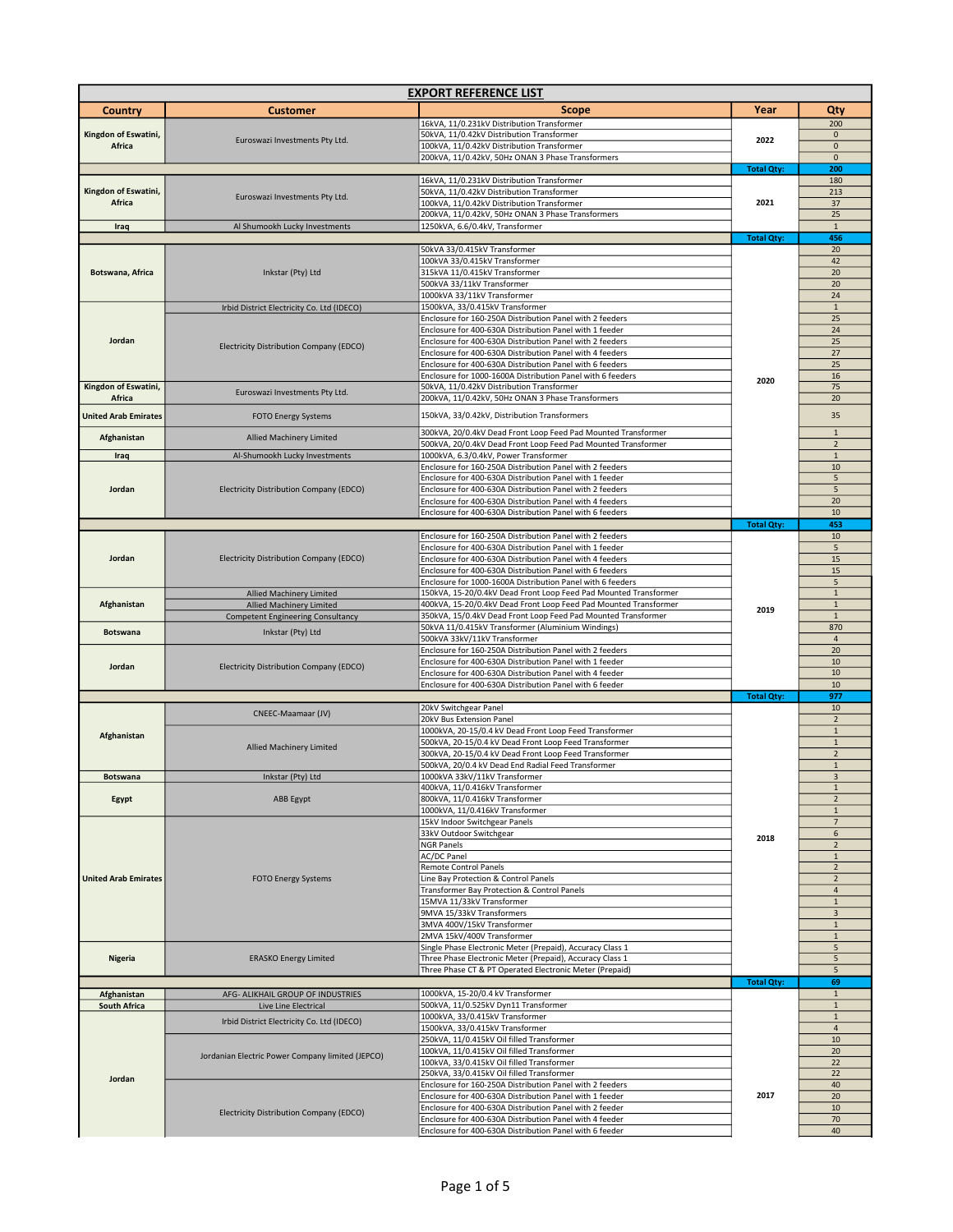| <b>EXPORT REFERENCE LIST</b> |                                                                             |                                                                                                                                   |                   |                               |
|------------------------------|-----------------------------------------------------------------------------|-----------------------------------------------------------------------------------------------------------------------------------|-------------------|-------------------------------|
| <b>Country</b>               | <b>Customer</b>                                                             | <b>Scope</b>                                                                                                                      | Year              | Qty                           |
|                              |                                                                             | 16kVA, 11/0.231kV Distribution Transformer                                                                                        |                   | 200                           |
| Kingdon of Eswatini,         | Euroswazi Investments Pty Ltd.                                              | 50kVA, 11/0.42kV Distribution Transformer                                                                                         | 2022              | $\mathbf 0$                   |
| Africa                       |                                                                             | 100kVA, 11/0.42kV Distribution Transformer                                                                                        |                   | $\mathbf{0}$                  |
|                              |                                                                             | 200kVA, 11/0.42kV, 50Hz ONAN 3 Phase Transformers                                                                                 | <b>Total Qty:</b> | $\mathbf{0}$<br>200           |
|                              |                                                                             | 16kVA, 11/0.231kV Distribution Transformer                                                                                        |                   | 180                           |
| Kingdon of Eswatini,         | Euroswazi Investments Pty Ltd.                                              | 50kVA, 11/0.42kV Distribution Transformer                                                                                         |                   | 213                           |
| Africa                       |                                                                             | 100kVA, 11/0.42kV Distribution Transformer                                                                                        | 2021              | 37                            |
| Iraq                         | Al Shumookh Lucky Investments                                               | 200kVA, 11/0.42kV, 50Hz ONAN 3 Phase Transformers<br>1250kVA, 6.6/0.4kV, Transformer                                              |                   | 25<br>$\mathbf 1$             |
|                              |                                                                             |                                                                                                                                   | <b>Total Qty:</b> | 456                           |
|                              |                                                                             | 50kVA 33/0.415kV Transformer                                                                                                      |                   | 20                            |
|                              |                                                                             | 100kVA 33/0.415kV Transformer                                                                                                     |                   | 42                            |
| Botswana, Africa             | Inkstar (Pty) Ltd                                                           | 315kVA 11/0.415kV Transformer                                                                                                     |                   | 20                            |
|                              |                                                                             | 500kVA 33/11kV Transformer<br>1000kVA 33/11kV Transformer                                                                         |                   | 20<br>24                      |
|                              | Irbid District Electricity Co. Ltd (IDECO)                                  | 1500kVA, 33/0.415kV Transformer                                                                                                   |                   | $\mathbf{1}$                  |
|                              |                                                                             | Enclosure for 160-250A Distribution Panel with 2 feeders                                                                          |                   | 25                            |
| Jordan                       |                                                                             | Enclosure for 400-630A Distribution Panel with 1 feeder                                                                           |                   | 24                            |
|                              | Electricity Distribution Company (EDCO)                                     | Enclosure for 400-630A Distribution Panel with 2 feeders<br>Enclosure for 400-630A Distribution Panel with 4 feeders              |                   | 25<br>27                      |
|                              |                                                                             | Enclosure for 400-630A Distribution Panel with 6 feeders                                                                          |                   | 25                            |
|                              |                                                                             | Enclosure for 1000-1600A Distribution Panel with 6 feeders                                                                        | 2020              | 16                            |
| Kingdon of Eswatini,         | Euroswazi Investments Pty Ltd.                                              | 50kVA, 11/0.42kV Distribution Transformer                                                                                         |                   | 75                            |
| Africa                       |                                                                             | 200kVA, 11/0.42kV, 50Hz ONAN 3 Phase Transformers                                                                                 |                   | 20                            |
| <b>United Arab Emirates</b>  | FOTO Energy Systems                                                         | 150kVA, 33/0.42kV, Distribution Transformers                                                                                      |                   | 35                            |
|                              |                                                                             | 300kVA, 20/0.4kV Dead Front Loop Feed Pad Mounted Transformer                                                                     |                   | $\mathbf 1$                   |
| Afghanistan                  | <b>Allied Machinery Limited</b>                                             | 500kVA, 20/0.4kV Dead Front Loop Feed Pad Mounted Transformer                                                                     |                   | $\overline{2}$                |
| Iraq                         | Al-Shumookh Lucky Investments                                               | 1000kVA, 6.3/0.4kV, Power Transformer                                                                                             |                   | $\mathbf{1}$                  |
|                              |                                                                             | Enclosure for 160-250A Distribution Panel with 2 feeders<br>Enclosure for 400-630A Distribution Panel with 1 feeder               |                   | $10\,$<br>5                   |
| Jordan                       | <b>Electricity Distribution Company (EDCO)</b>                              | Enclosure for 400-630A Distribution Panel with 2 feeders                                                                          |                   | 5                             |
|                              |                                                                             | Enclosure for 400-630A Distribution Panel with 4 feeders                                                                          |                   | 20                            |
|                              |                                                                             | Enclosure for 400-630A Distribution Panel with 6 feeders                                                                          |                   | 10                            |
|                              |                                                                             |                                                                                                                                   | <b>Total Qty:</b> | 453                           |
|                              |                                                                             | Enclosure for 160-250A Distribution Panel with 2 feeders<br>Enclosure for 400-630A Distribution Panel with 1 feeder               |                   | 10<br>5                       |
| Jordan                       | <b>Electricity Distribution Company (EDCO)</b>                              | Enclosure for 400-630A Distribution Panel with 4 feeders                                                                          |                   | 15                            |
|                              |                                                                             | Enclosure for 400-630A Distribution Panel with 6 feeders                                                                          |                   | 15                            |
|                              |                                                                             | Enclosure for 1000-1600A Distribution Panel with 6 feeders                                                                        |                   | 5                             |
| Afghanistan                  | <b>Allied Machinery Limited</b>                                             | 150kVA, 15-20/0.4kV Dead Front Loop Feed Pad Mounted Transformer                                                                  |                   | $\mathbf 1$                   |
|                              | <b>Allied Machinery Limited</b><br><b>Competent Engineering Consultancy</b> | 400kVA, 15-20/0.4kV Dead Front Loop Feed Pad Mounted Transformer<br>350kVA, 15/0.4kV Dead Front Loop Feed Pad Mounted Transformer | 2019              | $\mathbf 1$<br>$\mathbf 1$    |
|                              |                                                                             | 50kVA 11/0.415kV Transformer (Aluminium Windings)                                                                                 |                   | 870                           |
| <b>Botswana</b>              | Inkstar (Pty) Ltd                                                           | 500kVA 33kV/11kV Transformer                                                                                                      |                   | $\overline{4}$                |
|                              |                                                                             | Enclosure for 160-250A Distribution Panel with 2 feeders                                                                          |                   | 20                            |
| Jordan                       | <b>Electricity Distribution Company (EDCO)</b>                              | Enclosure for 400-630A Distribution Panel with 1 feeder<br>Enclosure for 400-630A Distribution Panel with 4 feeder                |                   | 10<br>10                      |
|                              |                                                                             | Enclosure for 400-630A Distribution Panel with 6 feeder                                                                           |                   | 10                            |
|                              |                                                                             |                                                                                                                                   | <b>Total Qty:</b> | 977                           |
|                              | CNEEC-Maamaar (JV)                                                          | 20kV Switchgear Panel                                                                                                             |                   | 10                            |
|                              |                                                                             | 20kV Bus Extension Panel                                                                                                          |                   | $\overline{2}$                |
| Afghanistan                  |                                                                             | 1000kVA, 20-15/0.4 kV Dead Front Loop Feed Transformer<br>500kVA, 20-15/0.4 kV Dead Front Loop Feed Transformer                   |                   | $\mathbf 1$<br>$\mathbf 1$    |
|                              | <b>Allied Machinery Limited</b>                                             | 300kVA, 20-15/0.4 kV Dead Front Loop Feed Transformer                                                                             |                   | $\overline{2}$                |
|                              |                                                                             | 500kVA, 20/0.4 kV Dead End Radial Feed Transformer                                                                                |                   | $\mathbf{1}$                  |
| <b>Botswana</b>              | Inkstar (Pty) Ltd                                                           | 1000kVA 33kV/11kV Transformer                                                                                                     |                   | 3                             |
| Egypt                        | <b>ABB Egypt</b>                                                            | 400kVA, 11/0.416kV Transformer<br>800kVA, 11/0.416kV Transformer                                                                  |                   | $1\,$<br>$\overline{2}$       |
|                              |                                                                             | 1000kVA, 11/0.416kV Transformer                                                                                                   |                   | $1\,$                         |
|                              |                                                                             | 15kV Indoor Switchgear Panels                                                                                                     |                   | $\overline{7}$                |
|                              | <b>FOTO Energy Systems</b><br><b>ERASKO Energy Limited</b>                  | 33kV Outdoor Switchgear                                                                                                           | 2018              | 6                             |
|                              |                                                                             | <b>NGR Panels</b><br>AC/DC Panel                                                                                                  |                   | $\overline{2}$<br>$\mathbf 1$ |
|                              |                                                                             | <b>Remote Control Panels</b>                                                                                                      |                   | $\overline{2}$                |
| <b>United Arab Emirates</b>  |                                                                             | Line Bay Protection & Control Panels                                                                                              |                   | $\overline{2}$                |
|                              |                                                                             | Transformer Bay Protection & Control Panels                                                                                       |                   | $\overline{4}$                |
|                              |                                                                             | 15MVA 11/33kV Transformer<br>9MVA 15/33kV Transformers                                                                            |                   | $1\,$<br>3                    |
|                              |                                                                             | 3MVA 400V/15kV Transformer                                                                                                        |                   | $\mathbf{1}$                  |
|                              |                                                                             | 2MVA 15kV/400V Transformer                                                                                                        |                   | $1\,$                         |
| Nigeria                      |                                                                             | Single Phase Electronic Meter (Prepaid), Accuracy Class 1                                                                         |                   | 5                             |
|                              |                                                                             | Three Phase Electronic Meter (Prepaid), Accuracy Class 1<br>Three Phase CT & PT Operated Electronic Meter (Prepaid)               |                   | 5<br>5                        |
|                              |                                                                             |                                                                                                                                   | <b>Total Qty:</b> | 69                            |
| Afghanistan                  | AFG- ALIKHAIL GROUP OF INDUSTRIES                                           | 1000kVA, 15-20/0.4 kV Transformer                                                                                                 |                   | $\mathbf 1$                   |
| <b>South Africa</b>          | Live Line Electrical                                                        | 500kVA, 11/0.525kV Dyn11 Transformer                                                                                              |                   | $1\,$                         |
|                              | Irbid District Electricity Co. Ltd (IDECO)                                  | 1000kVA, 33/0.415kV Transformer                                                                                                   |                   | $\mathbf{1}$                  |
|                              |                                                                             | 1500kVA, 33/0.415kV Transformer<br>250kVA, 11/0.415kV Oil filled Transformer                                                      |                   | $\overline{4}$<br>10          |
|                              |                                                                             | 100kVA, 11/0.415kV Oil filled Transformer                                                                                         |                   | 20                            |
|                              | Jordanian Electric Power Company limited (JEPCO)                            | 100kVA, 33/0.415kV Oil filled Transformer                                                                                         |                   | 22                            |
| Jordan                       |                                                                             | 250kVA, 33/0.415kV Oil filled Transformer                                                                                         |                   | 22                            |
|                              |                                                                             | Enclosure for 160-250A Distribution Panel with 2 feeders<br>Enclosure for 400-630A Distribution Panel with 1 feeder               | 2017              | 40<br>20                      |
|                              |                                                                             | Enclosure for 400-630A Distribution Panel with 2 feeder                                                                           |                   | 10                            |
|                              | Electricity Distribution Company (EDCO)                                     | Enclosure for 400-630A Distribution Panel with 4 feeder                                                                           |                   | 70                            |
|                              |                                                                             | Enclosure for 400-630A Distribution Panel with 6 feeder                                                                           |                   | 40                            |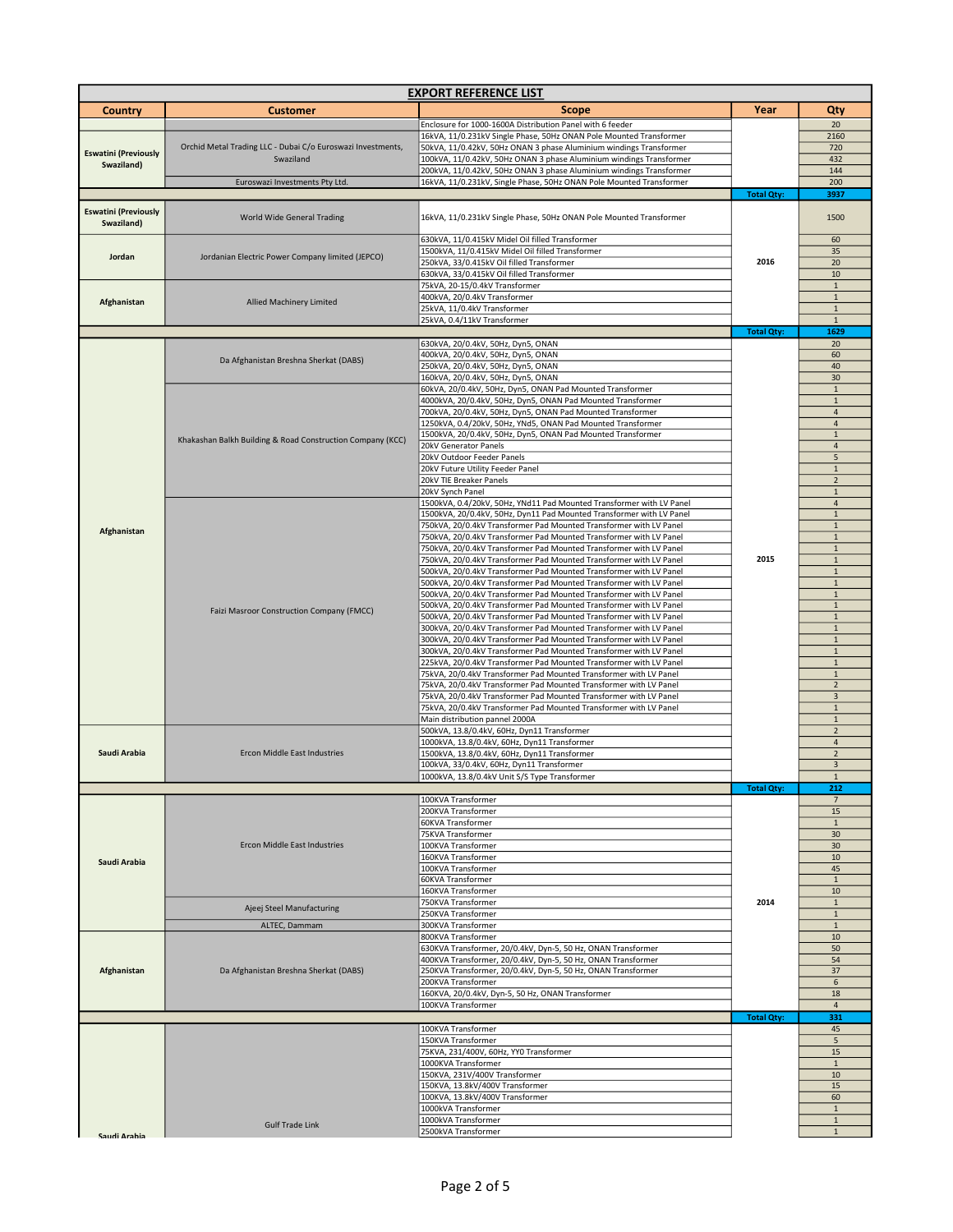| <b>EXPORT REFERENCE LIST</b>              |                                                             |                                                                                                                                              |                   |                                |  |
|-------------------------------------------|-------------------------------------------------------------|----------------------------------------------------------------------------------------------------------------------------------------------|-------------------|--------------------------------|--|
| <b>Country</b>                            | <b>Customer</b>                                             | Scope                                                                                                                                        | Year              | Qty                            |  |
|                                           |                                                             | Enclosure for 1000-1600A Distribution Panel with 6 feeder                                                                                    |                   | 20                             |  |
|                                           |                                                             | 16kVA, 11/0.231kV Single Phase, 50Hz ONAN Pole Mounted Transformer                                                                           |                   | 2160                           |  |
| <b>Eswatini (Previously</b>               | Orchid Metal Trading LLC - Dubai C/o Euroswazi Investments, | 50kVA, 11/0.42kV, 50Hz ONAN 3 phase Aluminium windings Transformer                                                                           |                   | 720                            |  |
| Swaziland)                                | Swaziland                                                   | 100kVA, 11/0.42kV, 50Hz ONAN 3 phase Aluminium windings Transformer<br>200kVA, 11/0.42kV, 50Hz ONAN 3 phase Aluminium windings Transformer   |                   | 432<br>144                     |  |
|                                           | Euroswazi Investments Pty Ltd.                              | 16kVA, 11/0.231kV, Single Phase, 50Hz ONAN Pole Mounted Transformer                                                                          |                   | 200                            |  |
|                                           |                                                             |                                                                                                                                              | <b>Total Qty:</b> | 3937                           |  |
| <b>Eswatini (Previously</b><br>Swaziland) | World Wide General Trading                                  | 16kVA, 11/0.231kV Single Phase, 50Hz ONAN Pole Mounted Transformer                                                                           |                   | 1500                           |  |
|                                           | Jordanian Electric Power Company limited (JEPCO)            | 630kVA, 11/0.415kV Midel Oil filled Transformer                                                                                              |                   | 60                             |  |
| Jordan                                    |                                                             | 1500kVA, 11/0.415kV Midel Oil filled Transformer<br>250kVA, 33/0.415kV Oil filled Transformer                                                | 2016              | 35<br>20                       |  |
|                                           |                                                             | 630kVA, 33/0.415kV Oil filled Transformer                                                                                                    |                   | 10                             |  |
| Afghanistan                               | <b>Allied Machinery Limited</b>                             | 75kVA, 20-15/0.4kV Transformer                                                                                                               |                   | $\mathbf 1$                    |  |
|                                           |                                                             | 400kVA, 20/0.4kV Transformer                                                                                                                 |                   | $\mathbf{1}$                   |  |
|                                           |                                                             | 25kVA, 11/0.4kV Transformer<br>25kVA, 0.4/11kV Transformer                                                                                   |                   | $\mathbf 1$<br>$\mathbf{1}$    |  |
|                                           |                                                             |                                                                                                                                              | <b>Total Qty:</b> | 1629                           |  |
|                                           |                                                             | 630kVA, 20/0.4kV, 50Hz, Dyn5, ONAN                                                                                                           |                   | 20                             |  |
|                                           | Da Afghanistan Breshna Sherkat (DABS)                       | 400kVA, 20/0.4kV, 50Hz, Dyn5, ONAN                                                                                                           |                   | 60                             |  |
|                                           |                                                             | 250kVA, 20/0.4kV, 50Hz, Dyn5, ONAN<br>160kVA, 20/0.4kV, 50Hz, Dyn5, ONAN                                                                     |                   | 40<br>30                       |  |
|                                           |                                                             | 60kVA, 20/0.4kV, 50Hz, Dyn5, ONAN Pad Mounted Transformer                                                                                    |                   | $\mathbf 1$                    |  |
|                                           |                                                             | 4000kVA, 20/0.4kV, 50Hz, Dyn5, ONAN Pad Mounted Transformer                                                                                  |                   | $\mathbf{1}$                   |  |
|                                           |                                                             | 700kVA, 20/0.4kV, 50Hz, Dyn5, ONAN Pad Mounted Transformer                                                                                   |                   | $\overline{4}$                 |  |
|                                           |                                                             | 1250kVA, 0.4/20kV, 50Hz, YNd5, ONAN Pad Mounted Transformer                                                                                  |                   | $\overline{4}$                 |  |
|                                           | Khakashan Balkh Building & Road Construction Company (KCC)  | 1500kVA, 20/0.4kV, 50Hz, Dyn5, ONAN Pad Mounted Transformer                                                                                  |                   | $\mathbf 1$                    |  |
|                                           |                                                             | 20kV Generator Panels<br>20kV Outdoor Feeder Panels                                                                                          |                   | $\overline{a}$<br>5            |  |
|                                           |                                                             | 20kV Future Utility Feeder Panel                                                                                                             |                   | $\mathbf 1$                    |  |
|                                           |                                                             | 20kV TIE Breaker Panels                                                                                                                      |                   | $\overline{2}$                 |  |
|                                           |                                                             | 20kV Synch Panel                                                                                                                             |                   | $\mathbf 1$                    |  |
|                                           |                                                             | 1500kVA, 0.4/20kV, 50Hz, YNd11 Pad Mounted Transformer with LV Panel<br>1500kVA, 20/0.4kV, 50Hz, Dyn11 Pad Mounted Transformer with LV Panel |                   | $\overline{a}$<br>$\mathbf{1}$ |  |
|                                           |                                                             | 750kVA, 20/0.4kV Transformer Pad Mounted Transformer with LV Panel                                                                           |                   | $\mathbf{1}$                   |  |
| Afghanistan                               |                                                             | 750kVA, 20/0.4kV Transformer Pad Mounted Transformer with LV Panel                                                                           |                   | $\mathbf{1}$                   |  |
|                                           |                                                             | 750kVA, 20/0.4kV Transformer Pad Mounted Transformer with LV Panel                                                                           |                   | $\mathbf 1$                    |  |
|                                           |                                                             | 750kVA, 20/0.4kV Transformer Pad Mounted Transformer with LV Panel                                                                           | 2015              | $\mathbf 1$                    |  |
|                                           | <b>Faizi Masroor Construction Company (FMCC)</b>            | 500kVA, 20/0.4kV Transformer Pad Mounted Transformer with LV Panel<br>500kVA, 20/0.4kV Transformer Pad Mounted Transformer with LV Panel     |                   | $\mathbf 1$<br>$\mathbf 1$     |  |
|                                           |                                                             | 500kVA, 20/0.4kV Transformer Pad Mounted Transformer with LV Panel                                                                           |                   | $\mathbf 1$                    |  |
|                                           |                                                             | 500kVA, 20/0.4kV Transformer Pad Mounted Transformer with LV Panel                                                                           |                   | $\mathbf{1}$                   |  |
|                                           |                                                             | 500kVA, 20/0.4kV Transformer Pad Mounted Transformer with LV Panel                                                                           |                   | $\mathbf 1$                    |  |
|                                           |                                                             | 300kVA, 20/0.4kV Transformer Pad Mounted Transformer with LV Panel                                                                           |                   | $\mathbf{1}$                   |  |
|                                           |                                                             | 300kVA, 20/0.4kV Transformer Pad Mounted Transformer with LV Panel<br>300kVA, 20/0.4kV Transformer Pad Mounted Transformer with LV Panel     |                   | $\mathbf{1}$<br>$\mathbf 1$    |  |
|                                           |                                                             | 225kVA, 20/0.4kV Transformer Pad Mounted Transformer with LV Panel                                                                           |                   | $\mathbf 1$                    |  |
|                                           |                                                             | 75kVA, 20/0.4kV Transformer Pad Mounted Transformer with LV Panel                                                                            |                   | $\mathbf 1$                    |  |
|                                           |                                                             | 75kVA, 20/0.4kV Transformer Pad Mounted Transformer with LV Panel                                                                            |                   | $\overline{2}$                 |  |
|                                           |                                                             | 75kVA, 20/0.4kV Transformer Pad Mounted Transformer with LV Panel<br>75kVA, 20/0.4kV Transformer Pad Mounted Transformer with LV Panel       |                   | 3<br>$\mathbf{1}$              |  |
|                                           |                                                             | Main distribution pannel 2000A                                                                                                               |                   | $\mathbf{1}$                   |  |
|                                           |                                                             | 500kVA, 13.8/0.4kV, 60Hz, Dyn11 Transformer                                                                                                  |                   | $\overline{2}$                 |  |
|                                           |                                                             | 1000kVA, 13.8/0.4kV, 60Hz, Dyn11 Transformer                                                                                                 |                   | $\overline{4}$                 |  |
| Saudi Arabia                              | Ercon Middle East Industries                                | 1500kVA, 13.8/0.4kV, 60Hz, Dyn11 Transformer                                                                                                 |                   | $\overline{2}$                 |  |
|                                           |                                                             | 100kVA, 33/0.4kV, 60Hz, Dyn11 Transformer<br>1000kVA, 13.8/0.4kV Unit S/S Type Transformer                                                   |                   | $\mathsf 3$<br>$\mathbf{1}$    |  |
|                                           |                                                             |                                                                                                                                              | <b>Total Qty:</b> | 212                            |  |
|                                           |                                                             | 100KVA Transformer                                                                                                                           |                   | $\overline{7}$                 |  |
|                                           |                                                             | 200KVA Transformer                                                                                                                           |                   | 15                             |  |
|                                           |                                                             | 60KVA Transformer<br>75KVA Transformer                                                                                                       |                   | $\mathbf{1}$<br>30             |  |
|                                           | <b>Ercon Middle East Industries</b>                         | 100KVA Transformer                                                                                                                           |                   | 30                             |  |
| Saudi Arabia                              |                                                             | 160KVA Transformer                                                                                                                           |                   | 10                             |  |
|                                           |                                                             | 100KVA Transformer                                                                                                                           |                   | 45                             |  |
|                                           |                                                             | <b>60KVA Transformer</b><br>160KVA Transformer                                                                                               |                   | $\mathbf{1}$<br>10             |  |
|                                           |                                                             | 750KVA Transformer                                                                                                                           | 2014              | $\mathbf{1}$                   |  |
|                                           | Ajeej Steel Manufacturing                                   | 250KVA Transformer                                                                                                                           |                   | $\mathbf 1$                    |  |
|                                           | ALTEC, Dammam                                               | 300KVA Transformer                                                                                                                           |                   | $\mathbf 1$                    |  |
|                                           |                                                             | 800KVA Transformer<br>630KVA Transformer, 20/0.4kV, Dyn-5, 50 Hz, ONAN Transformer                                                           |                   | 10<br>50                       |  |
|                                           | Da Afghanistan Breshna Sherkat (DABS)                       | 400KVA Transformer, 20/0.4kV, Dyn-5, 50 Hz, ONAN Transformer                                                                                 |                   | 54                             |  |
| Afghanistan                               |                                                             | 250KVA Transformer, 20/0.4kV, Dyn-5, 50 Hz, ONAN Transformer                                                                                 |                   | 37                             |  |
|                                           |                                                             | 200KVA Transformer                                                                                                                           |                   | 6                              |  |
|                                           |                                                             | 160KVA, 20/0.4kV, Dyn-5, 50 Hz, ONAN Transformer                                                                                             |                   | 18                             |  |
|                                           |                                                             | 100KVA Transformer                                                                                                                           | <b>Total Qty:</b> | $\overline{a}$<br>331          |  |
|                                           |                                                             | 100KVA Transformer                                                                                                                           |                   | 45                             |  |
|                                           |                                                             | 150KVA Transformer                                                                                                                           |                   | 5                              |  |
|                                           |                                                             | 75KVA, 231/400V, 60Hz, YY0 Transformer                                                                                                       |                   | 15                             |  |
|                                           |                                                             | 1000KVA Transformer<br>150KVA, 231V/400V Transformer                                                                                         |                   | $\mathbf{1}$<br>10             |  |
|                                           |                                                             | 150KVA, 13.8kV/400V Transformer                                                                                                              |                   | 15                             |  |
|                                           |                                                             | 100KVA, 13.8kV/400V Transformer                                                                                                              |                   | 60                             |  |
|                                           |                                                             | 1000kVA Transformer                                                                                                                          |                   | $\mathbf{1}$                   |  |
|                                           | <b>Gulf Trade Link</b>                                      | 1000kVA Transformer                                                                                                                          |                   | $\mathbf 1$                    |  |
| Saudi Arahia                              |                                                             | 2500kVA Transformer                                                                                                                          |                   | $\mathbf{1}$                   |  |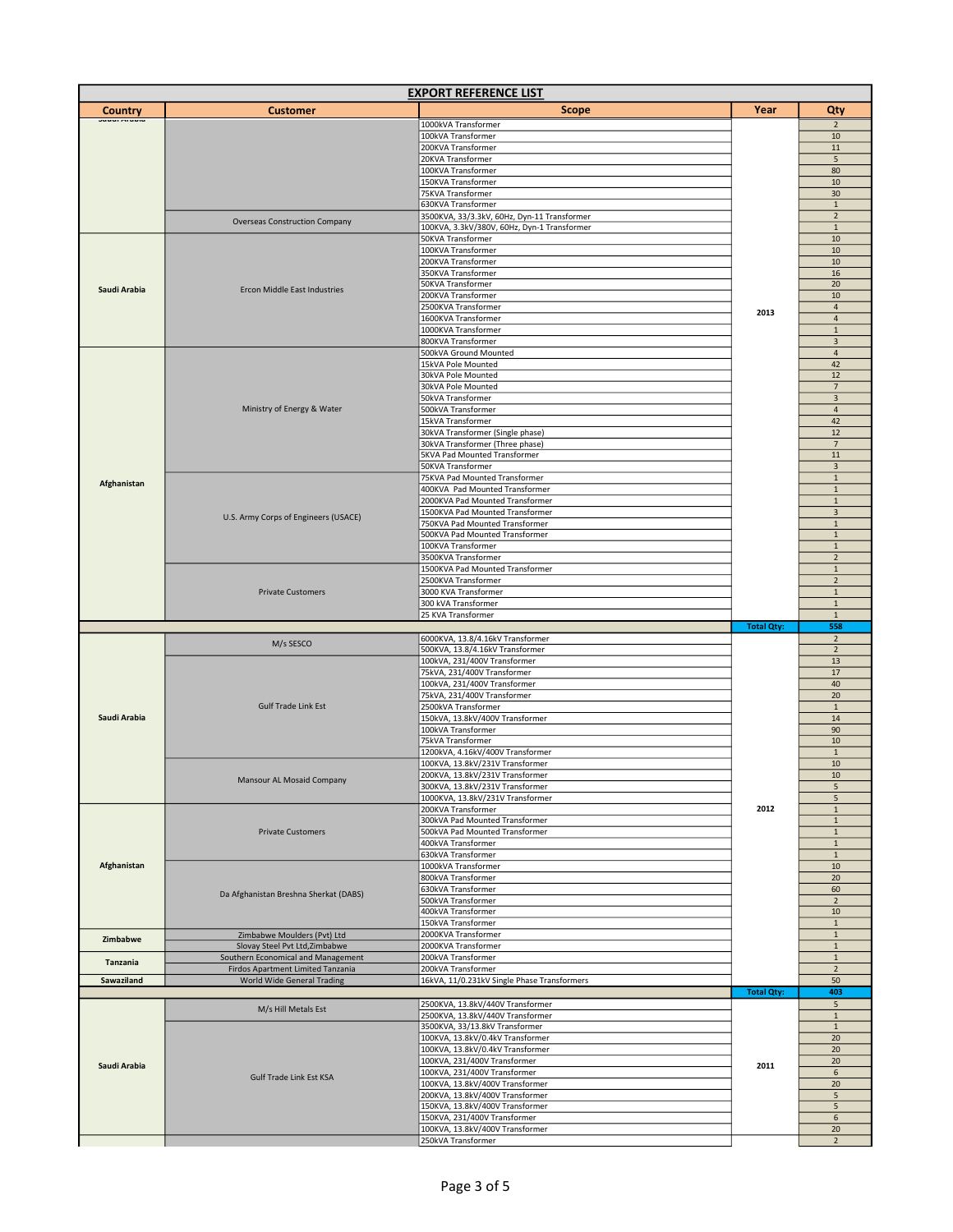| <b>EXPORT REFERENCE LIST</b> |                                       |                                                                     |                   |                               |  |
|------------------------------|---------------------------------------|---------------------------------------------------------------------|-------------------|-------------------------------|--|
| Country                      | <b>Customer</b>                       | <b>Scope</b>                                                        | Year              | Qty                           |  |
| Jauul Miawk                  |                                       | 1000kVA Transformer                                                 |                   | $\overline{2}$                |  |
|                              |                                       | 100kVA Transformer                                                  |                   | 10                            |  |
|                              |                                       | 200KVA Transformer                                                  |                   | 11                            |  |
|                              |                                       | 20KVA Transformer                                                   |                   | $\sqrt{5}$                    |  |
|                              |                                       | 100KVA Transformer                                                  |                   | 80                            |  |
|                              |                                       | 150KVA Transformer                                                  |                   | 10                            |  |
|                              |                                       | 75KVA Transformer<br>630KVA Transformer                             |                   | 30<br>$\mathbf{1}$            |  |
|                              |                                       | 3500KVA, 33/3.3kV, 60Hz, Dyn-11 Transformer                         |                   | $\overline{2}$                |  |
|                              | <b>Overseas Construction Company</b>  | 100KVA, 3.3kV/380V, 60Hz, Dyn-1 Transformer                         |                   | $\mathbf 1$                   |  |
|                              |                                       | 50KVA Transformer                                                   |                   | 10                            |  |
|                              |                                       | 100KVA Transformer                                                  |                   | 10                            |  |
|                              |                                       | 200KVA Transformer                                                  |                   | 10                            |  |
|                              |                                       | 350KVA Transformer                                                  |                   | 16                            |  |
| Saudi Arabia                 | Ercon Middle East Industries          | 50KVA Transformer                                                   |                   | 20                            |  |
|                              |                                       | 200KVA Transformer                                                  |                   | 10                            |  |
|                              |                                       | 2500KVA Transformer                                                 | 2013              | $\overline{4}$                |  |
|                              |                                       | 1600KVA Transformer                                                 |                   | $\overline{\mathbf{4}}$       |  |
|                              |                                       | 1000KVA Transformer<br>800KVA Transformer                           |                   | $\mathbf 1$<br>$\overline{3}$ |  |
|                              |                                       | 500kVA Ground Mounted                                               |                   | $\overline{4}$                |  |
|                              |                                       | 15kVA Pole Mounted                                                  |                   | 42                            |  |
|                              |                                       | 30kVA Pole Mounted                                                  |                   | 12                            |  |
|                              |                                       | 30kVA Pole Mounted                                                  |                   | $7\overline{ }$               |  |
|                              |                                       | 50kVA Transformer                                                   |                   | $\overline{3}$                |  |
|                              | Ministry of Energy & Water            | 500kVA Transformer                                                  |                   | $\overline{a}$                |  |
|                              |                                       | 15kVA Transformer                                                   |                   | 42                            |  |
|                              |                                       | 30kVA Transformer (Single phase)                                    |                   | $12\,$                        |  |
|                              |                                       | 30kVA Transformer (Three phase)                                     |                   | $\overline{7}$                |  |
|                              |                                       | 5KVA Pad Mounted Transformer                                        |                   | $11\,$<br>$\overline{3}$      |  |
|                              |                                       | 50KVA Transformer<br>75KVA Pad Mounted Transformer                  |                   | $\mathbf 1$                   |  |
| Afghanistan                  |                                       | 400KVA Pad Mounted Transformer                                      |                   | $\mathbf{1}$                  |  |
|                              |                                       | 2000KVA Pad Mounted Transformer                                     |                   | $1\,$                         |  |
|                              |                                       | 1500KVA Pad Mounted Transformer                                     |                   | 3                             |  |
|                              | U.S. Army Corps of Engineers (USACE)  | 750KVA Pad Mounted Transformer                                      |                   | $\mathbf 1$                   |  |
|                              |                                       | 500KVA Pad Mounted Transformer                                      |                   | $\mathbf 1$                   |  |
|                              |                                       | 100KVA Transformer                                                  |                   | $\mathbf 1$                   |  |
|                              |                                       | 3500KVA Transformer                                                 |                   | $\overline{2}$                |  |
|                              |                                       | 1500KVA Pad Mounted Transformer                                     |                   | $\mathbf{1}$                  |  |
|                              | <b>Private Customers</b>              | 2500KVA Transformer                                                 |                   | $\overline{2}$                |  |
|                              |                                       | 3000 KVA Transformer<br>300 kVA Transformer                         |                   | $\mathbf 1$<br>$\mathbf 1$    |  |
|                              |                                       | 25 KVA Transformer                                                  |                   | $1\,$                         |  |
|                              |                                       |                                                                     |                   |                               |  |
|                              |                                       |                                                                     |                   | 558                           |  |
|                              |                                       | 6000KVA, 13.8/4.16kV Transformer                                    | <b>Total Qty:</b> | $\overline{2}$                |  |
|                              | M/s SESCO                             | 500KVA, 13.8/4.16kV Transformer                                     |                   | $\overline{2}$                |  |
|                              |                                       | 100kVA, 231/400V Transformer                                        |                   | 13                            |  |
|                              |                                       | 75kVA, 231/400V Transformer                                         |                   | 17                            |  |
|                              |                                       | 100kVA, 231/400V Transformer                                        |                   | 40                            |  |
|                              |                                       | 75kVA, 231/400V Transformer                                         |                   | 20                            |  |
|                              | <b>Gulf Trade Link Est</b>            | 2500kVA Transformer                                                 |                   | $\mathbf 1$                   |  |
| Saudi Arabia                 |                                       | 150kVA, 13.8kV/400V Transformer                                     |                   | 14                            |  |
|                              |                                       | 100kVA Transformer                                                  |                   | 90                            |  |
|                              |                                       | 75kVA Transformer                                                   |                   | 10<br>$\mathbf 1$             |  |
|                              |                                       | 1200kVA, 4.16kV/400V Transformer<br>100KVA, 13.8kV/231V Transformer |                   | 10                            |  |
|                              |                                       | 200KVA, 13.8kV/231V Transformer                                     |                   | 10                            |  |
|                              | Mansour AL Mosaid Company             | 300KVA, 13.8kV/231V Transformer                                     |                   | 5                             |  |
|                              |                                       | 1000KVA, 13.8kV/231V Transformer                                    |                   | 5                             |  |
|                              |                                       | 200KVA Transformer                                                  | 2012              | $1\,$                         |  |
|                              |                                       | 300kVA Pad Mounted Transformer                                      |                   | $\mathbf 1$                   |  |
|                              | <b>Private Customers</b>              | 500kVA Pad Mounted Transformer                                      |                   | $\mathbf 1$                   |  |
|                              |                                       | 400kVA Transformer                                                  |                   | $\mathbf 1$                   |  |
| Afghanistan                  |                                       | 630kVA Transformer<br>1000kVA Transformer                           |                   | $\mathbf 1$<br>10             |  |
|                              |                                       | 800kVA Transformer                                                  |                   | 20                            |  |
|                              |                                       | 630kVA Transformer                                                  |                   | 60                            |  |
|                              | Da Afghanistan Breshna Sherkat (DABS) | 500kVA Transformer                                                  |                   | $\overline{2}$                |  |
|                              |                                       | 400kVA Transformer                                                  |                   | 10                            |  |
|                              |                                       | 150kVA Transformer                                                  |                   | $\mathbf{1}$                  |  |
| Zimbabwe                     | Zimbabwe Moulders (Pvt) Ltd           | 2000KVA Transformer                                                 |                   | $\mathbf 1$                   |  |
|                              | Slovay Steel Pvt Ltd, Zimbabwe        | 2000KVA Transformer                                                 |                   | $1\,$                         |  |
| Tanzania                     | Southern Economical and Management    | 200kVA Transformer                                                  |                   | $\mathbf 1$                   |  |
|                              | Firdos Apartment Limited Tanzania     | 200kVA Transformer                                                  |                   | $\mathbf 2$                   |  |
| Sawaziland                   | World Wide General Trading            | 16kVA, 11/0.231kV Single Phase Transformers                         |                   | 50<br>403                     |  |
|                              |                                       | 2500KVA, 13.8kV/440V Transformer                                    | <b>Total Qty:</b> | 5                             |  |
|                              | M/s Hill Metals Est                   | 2500KVA, 13.8kV/440V Transformer                                    |                   | $\mathbf 1$                   |  |
|                              |                                       | 3500KVA, 33/13.8kV Transformer                                      |                   | $\mathbf 1$                   |  |
|                              |                                       | 100KVA, 13.8kV/0.4kV Transformer                                    |                   | 20                            |  |
|                              |                                       | 100KVA, 13.8kV/0.4kV Transformer                                    |                   | 20                            |  |
| Saudi Arabia                 |                                       | 100KVA, 231/400V Transformer                                        | 2011              | 20                            |  |
|                              | <b>Gulf Trade Link Est KSA</b>        | 100KVA, 231/400V Transformer                                        |                   | 6                             |  |
|                              |                                       | 100KVA, 13.8kV/400V Transformer                                     |                   | 20                            |  |
|                              |                                       | 200KVA, 13.8kV/400V Transformer                                     |                   | 5                             |  |
|                              |                                       | 150KVA, 13.8kV/400V Transformer                                     |                   | 5                             |  |
|                              |                                       | 150KVA, 231/400V Transformer<br>100KVA, 13.8kV/400V Transformer     |                   | 6<br>20                       |  |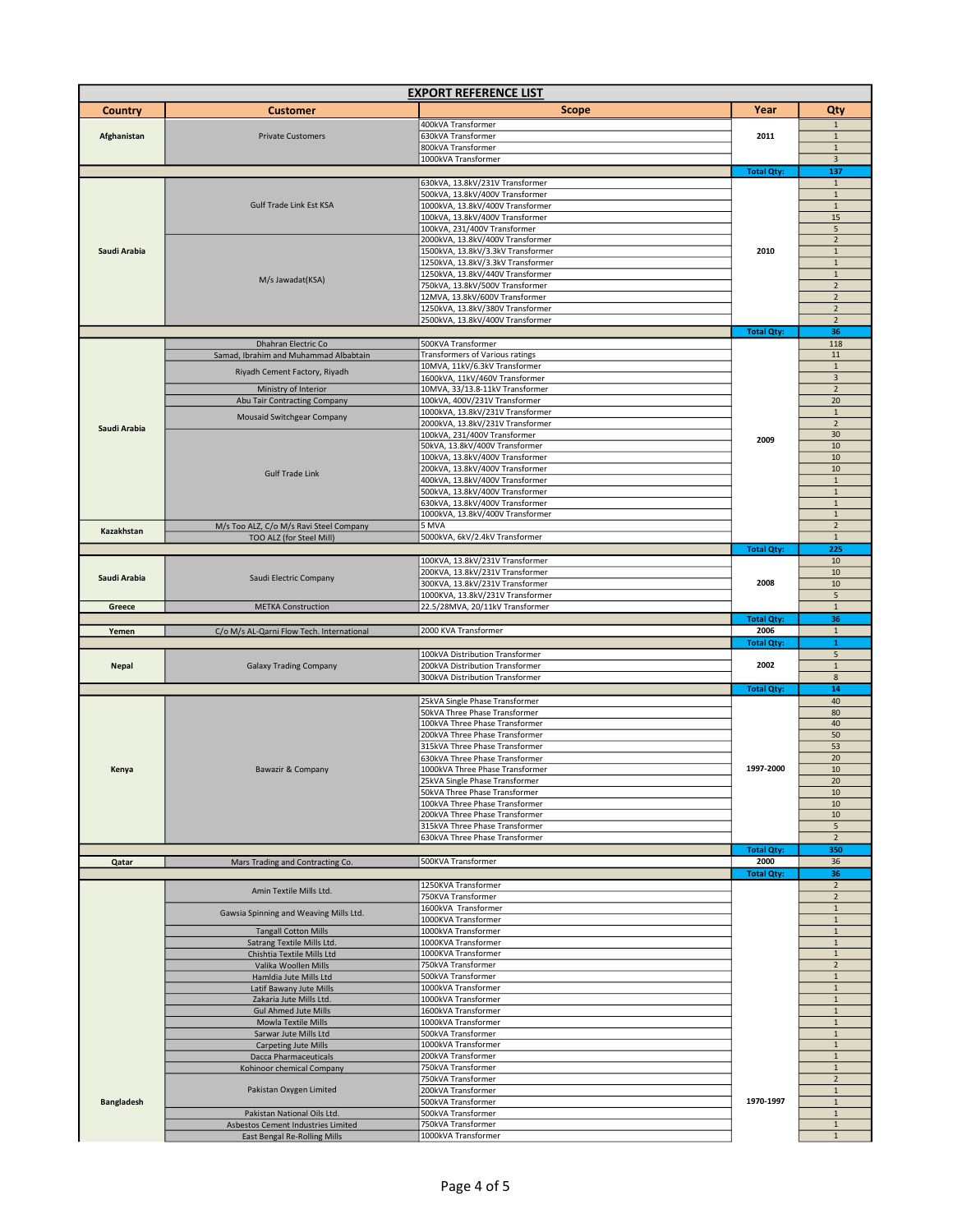| <b>EXPORT REFERENCE LIST</b> |                                                                    |                                                                       |                   |                                  |  |
|------------------------------|--------------------------------------------------------------------|-----------------------------------------------------------------------|-------------------|----------------------------------|--|
| <b>Country</b>               | <b>Customer</b>                                                    | <b>Scope</b>                                                          | Year              | Qty                              |  |
|                              |                                                                    | 400kVA Transformer                                                    |                   | $\mathbf{1}$                     |  |
| Afghanistan                  | <b>Private Customers</b>                                           | 630kVA Transformer                                                    | 2011              | $\mathbf 1$                      |  |
|                              |                                                                    | 800kVA Transformer<br>1000kVA Transformer                             |                   | $\mathbf 1$                      |  |
|                              |                                                                    |                                                                       | <b>Total Qty:</b> | $\overline{3}$<br>137            |  |
|                              |                                                                    | 630kVA, 13.8kV/231V Transformer                                       |                   | $\mathbf 1$                      |  |
|                              |                                                                    | 500kVA, 13.8kV/400V Transformer                                       |                   | $\mathbf{1}$                     |  |
|                              | Gulf Trade Link Est KSA                                            | 1000kVA, 13.8kV/400V Transformer<br>100kVA, 13.8kV/400V Transformer   |                   | $1\,$<br>15                      |  |
|                              |                                                                    | 100kVA, 231/400V Transformer                                          |                   | 5                                |  |
|                              |                                                                    | 2000kVA, 13.8kV/400V Transformer                                      |                   | $\overline{2}$                   |  |
| Saudi Arabia                 |                                                                    | 1500kVA, 13.8kV/3.3kV Transformer                                     | 2010              | $\mathbf 1$                      |  |
|                              |                                                                    | 1250kVA, 13.8kV/3.3kV Transformer<br>1250kVA, 13.8kV/440V Transformer |                   | $\mathbf 1$<br>$\mathbf{1}$      |  |
|                              | M/s Jawadat(KSA)                                                   | 750kVA, 13.8kV/500V Transformer                                       |                   | $\mathbf 2$                      |  |
|                              |                                                                    | 12MVA, 13.8kV/600V Transformer                                        |                   | $\overline{2}$                   |  |
|                              |                                                                    | 1250kVA, 13.8kV/380V Transformer                                      | <b>Total Qty:</b> | $\overline{2}$                   |  |
|                              |                                                                    | 2500kVA, 13.8kV/400V Transformer                                      |                   | $\overline{2}$<br>36             |  |
|                              | Dhahran Electric Co                                                | 500KVA Transformer                                                    |                   | 118                              |  |
|                              | Samad, Ibrahim and Muhammad Albabtain                              | Transformers of Various ratings                                       |                   | 11                               |  |
|                              | Riyadh Cement Factory, Riyadh                                      | 10MVA, 11kV/6.3kV Transformer                                         |                   | $\mathbf{1}$                     |  |
|                              | Ministry of Interior                                               | 1600kVA, 11kV/460V Transformer<br>10MVA, 33/13.8-11kV Transformer     |                   | 3<br>$\overline{2}$              |  |
|                              | Abu Tair Contracting Company                                       | 100kVA, 400V/231V Transformer                                         |                   | 20                               |  |
|                              | Mousaid Switchgear Company                                         | 1000kVA, 13.8kV/231V Transformer                                      |                   | $1\,$                            |  |
| Saudi Arabia                 |                                                                    | 2000kVA, 13.8kV/231V Transformer<br>100kVA, 231/400V Transformer      |                   | $\overline{2}$<br>30             |  |
|                              |                                                                    | 50kVA, 13.8kV/400V Transformer                                        | 2009              | 10                               |  |
|                              |                                                                    | 100kVA, 13.8kV/400V Transformer                                       |                   | 10                               |  |
|                              | <b>Gulf Trade Link</b>                                             | 200kVA, 13.8kV/400V Transformer                                       |                   | 10                               |  |
|                              |                                                                    | 400kVA, 13.8kV/400V Transformer<br>500kVA, 13.8kV/400V Transformer    |                   | $\,$ 1<br>$\mathbf 1$            |  |
|                              |                                                                    | 630kVA, 13.8kV/400V Transformer                                       |                   | $\mathbf 1$                      |  |
|                              |                                                                    | 1000kVA, 13.8kV/400V Transformer                                      |                   | $\mathbf{1}$                     |  |
| Kazakhstan                   | M/s Too ALZ, C/o M/s Ravi Steel Company                            | 5 MVA                                                                 |                   | $\overline{2}$                   |  |
|                              | TOO ALZ (for Steel Mill)                                           | 5000kVA, 6kV/2.4kV Transformer                                        | <b>Total Qty:</b> | $\mathbf{1}$<br>225              |  |
|                              |                                                                    | 100KVA, 13.8kV/231V Transformer                                       |                   | 10                               |  |
| Saudi Arabia                 | Saudi Electric Company                                             | 200KVA, 13.8kV/231V Transformer                                       |                   | 10                               |  |
|                              |                                                                    | 300KVA, 13.8kV/231V Transformer                                       | 2008              | 10                               |  |
| Greece                       | <b>METKA Construction</b>                                          | 1000KVA, 13.8kV/231V Transformer<br>22.5/28MVA, 20/11kV Transformer   |                   | 5<br>$\mathbf 1$                 |  |
|                              |                                                                    |                                                                       | <b>Total Qty:</b> | 36                               |  |
| Yemen                        | C/o M/s AL-Qarni Flow Tech. International                          | 2000 KVA Transformer                                                  | 2006              | $\mathbf{1}$                     |  |
|                              |                                                                    |                                                                       | <b>Total Qty:</b> | $\mathbf{1}$                     |  |
| <b>Nepal</b>                 | <b>Galaxy Trading Company</b>                                      | 100kVA Distribution Transformer                                       |                   |                                  |  |
|                              |                                                                    |                                                                       |                   | 5                                |  |
|                              |                                                                    | 200kVA Distribution Transformer<br>300kVA Distribution Transformer    | 2002              | $\mathbf{1}$<br>8                |  |
|                              |                                                                    |                                                                       | <b>Total Qty:</b> | 14                               |  |
|                              |                                                                    | 25kVA Single Phase Transformer                                        |                   | 40                               |  |
|                              |                                                                    | 50kVA Three Phase Transformer<br>100kVA Three Phase Transformer       |                   | 80                               |  |
|                              |                                                                    | 200kVA Three Phase Transformer                                        |                   | 40<br>50                         |  |
|                              |                                                                    | 315kVA Three Phase Transformer                                        |                   | 53                               |  |
|                              |                                                                    | 630kVA Three Phase Transformer                                        |                   | 20                               |  |
| Kenya                        | <b>Bawazir &amp; Company</b>                                       | 1000kVA Three Phase Transformer                                       | 1997-2000         | $10\,$                           |  |
|                              |                                                                    | 25kVA Single Phase Transformer<br>50kVA Three Phase Transformer       |                   | 20<br>$10\,$                     |  |
|                              |                                                                    | 100kVA Three Phase Transformer                                        |                   | 10                               |  |
|                              |                                                                    | 200kVA Three Phase Transformer                                        |                   | 10                               |  |
|                              |                                                                    | 315kVA Three Phase Transformer<br>630kVA Three Phase Transformer      |                   | $\overline{5}$<br>$\overline{2}$ |  |
|                              |                                                                    |                                                                       | <b>Total Qty:</b> | 350                              |  |
| Qatar                        | Mars Trading and Contracting Co.                                   | 500KVA Transformer                                                    | 2000              | 36                               |  |
|                              |                                                                    |                                                                       | <b>Total Qty:</b> | 36                               |  |
|                              | Amin Textile Mills Ltd.                                            | 1250KVA Transformer                                                   |                   | $\overline{2}$                   |  |
|                              |                                                                    | 750KVA Transformer<br>1600kVA Transformer                             |                   | $\mathbf 2$<br>$\mathbf{1}$      |  |
|                              | Gawsia Spinning and Weaving Mills Ltd.                             | 1000KVA Transformer                                                   |                   | $\mathbf 1$                      |  |
|                              | <b>Tangall Cotton Mills</b>                                        | 1000kVA Transformer                                                   |                   | $\mathbf 1$                      |  |
|                              | Satrang Textile Mills Ltd.<br>Chishtia Textile Mills Ltd           | 1000KVA Transformer<br>1000KVA Transformer                            |                   | $\mathbf 1$<br>$\mathbf 1$       |  |
|                              | Valika Woollen Mills                                               | 750kVA Transformer                                                    |                   | $\mathbf 2$                      |  |
|                              | Hamldia Jute Mills Ltd                                             | 500kVA Transformer                                                    |                   | $\mathbf 1$                      |  |
|                              | Latif Bawany Jute Mills                                            | 1000kVA Transformer<br>1000kVA Transformer                            |                   | $1\,$<br>$1\,$                   |  |
|                              | Zakaria Jute Mills Ltd.<br><b>Gul Ahmed Jute Mills</b>             | 1600kVA Transformer                                                   |                   | $\mathbf{1}$                     |  |
|                              | Mowla Textile Mills                                                | 1000kVA Transformer                                                   |                   | $\mathbf 1$                      |  |
|                              | Sarwar Jute Mills Ltd                                              | 500kVA Transformer                                                    |                   | $1\,$                            |  |
|                              | <b>Carpeting Jute Mills</b><br>Dacca Pharmaceuticals               | 1000kVA Transformer<br>200kVA Transformer                             |                   | $\mathbf 1$<br>$\mathbf 1$       |  |
|                              | Kohinoor chemical Company                                          | 750kVA Transformer                                                    |                   | $\,$ 1                           |  |
|                              |                                                                    | 750kVA Transformer                                                    |                   | $\overline{2}$                   |  |
|                              | Pakistan Oxygen Limited                                            | 200kVA Transformer                                                    | 1970-1997         | $\mathbf{1}$<br>$1\,$            |  |
| <b>Bangladesh</b>            | Pakistan National Oils Ltd.                                        | 500kVA Transformer<br>500kVA Transformer                              |                   | $\mathbf{1}$                     |  |
|                              | Asbestos Cement Industries Limited<br>East Bengal Re-Rolling Mills | 750kVA Transformer<br>1000kVA Transformer                             |                   | $\,1\,$<br>$\mathbf 1$           |  |